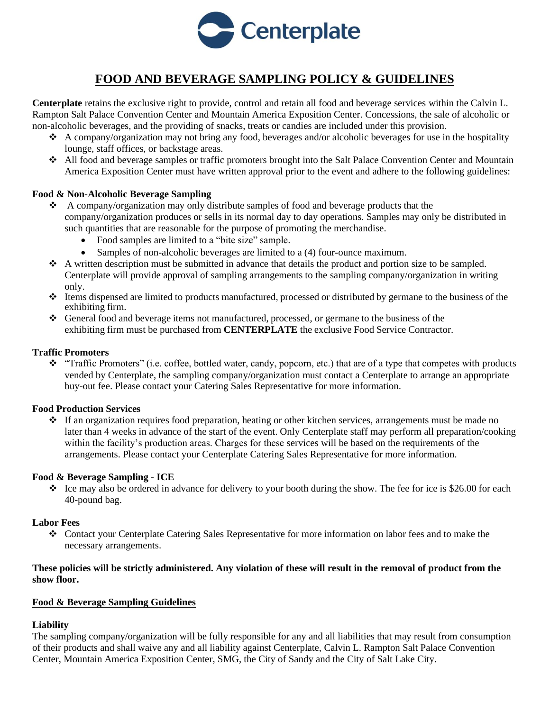

# **FOOD AND BEVERAGE SAMPLING POLICY & GUIDELINES**

**Centerplate** retains the exclusive right to provide, control and retain all food and beverage services within the Calvin L. Rampton Salt Palace Convention Center and Mountain America Exposition Center. Concessions, the sale of alcoholic or non-alcoholic beverages, and the providing of snacks, treats or candies are included under this provision.

- $\triangle$  A company/organization may not bring any food, beverages and/or alcoholic beverages for use in the hospitality lounge, staff offices, or backstage areas.
- ❖ All food and beverage samples or traffic promoters brought into the Salt Palace Convention Center and Mountain America Exposition Center must have written approval prior to the event and adhere to the following guidelines:

## **Food & Non-Alcoholic Beverage Sampling**

- ❖ A company/organization may only distribute samples of food and beverage products that the company/organization produces or sells in its normal day to day operations. Samples may only be distributed in such quantities that are reasonable for the purpose of promoting the merchandise.
	- Food samples are limited to a "bite size" sample.
	- Samples of non-alcoholic beverages are limited to a (4) four-ounce maximum.
- ❖ A written description must be submitted in advance that details the product and portion size to be sampled. Centerplate will provide approval of sampling arrangements to the sampling company/organization in writing only.
- ❖ Items dispensed are limited to products manufactured, processed or distributed by germane to the business of the exhibiting firm.
- ❖ General food and beverage items not manufactured, processed, or germane to the business of the exhibiting firm must be purchased from **CENTERPLATE** the exclusive Food Service Contractor.

## **Traffic Promoters**

❖ "Traffic Promoters" (i.e. coffee, bottled water, candy, popcorn, etc.) that are of a type that competes with products vended by Centerplate, the sampling company/organization must contact a Centerplate to arrange an appropriate buy-out fee. Please contact your Catering Sales Representative for more information.

#### **Food Production Services**

❖ If an organization requires food preparation, heating or other kitchen services, arrangements must be made no later than 4 weeks in advance of the start of the event. Only Centerplate staff may perform all preparation/cooking within the facility's production areas. Charges for these services will be based on the requirements of the arrangements. Please contact your Centerplate Catering Sales Representative for more information.

#### **Food & Beverage Sampling - ICE**

❖ Ice may also be ordered in advance for delivery to your booth during the show. The fee for ice is \$26.00 for each 40-pound bag.

#### **Labor Fees**

❖ Contact your Centerplate Catering Sales Representative for more information on labor fees and to make the necessary arrangements.

## **These policies will be strictly administered. Any violation of these will result in the removal of product from the show floor.**

## **Food & Beverage Sampling Guidelines**

## **Liability**

The sampling company/organization will be fully responsible for any and all liabilities that may result from consumption of their products and shall waive any and all liability against Centerplate, Calvin L. Rampton Salt Palace Convention Center, Mountain America Exposition Center, SMG, the City of Sandy and the City of Salt Lake City.